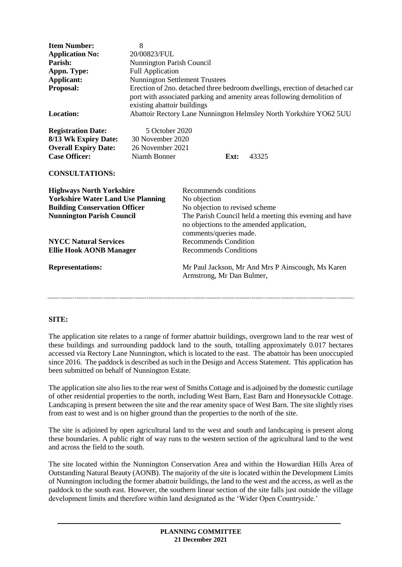| <b>Item Number:</b><br><b>Application No:</b><br>Parish:<br>Appn. Type:<br>Applicant:<br>Proposal:<br>Location:                                                                                                           | 8<br>20/00823/FUL<br><b>Nunnington Parish Council</b><br><b>Full Application</b><br><b>Nunnington Settlement Trustees</b><br>Erection of 2no. detached three bedroom dwellings, erection of detached car<br>port with associated parking and amenity areas following demolition of<br>existing abattoir buildings<br>Abattoir Rectory Lane Nunnington Helmsley North Yorkshire YO62 5UU |                                                                                                                                                                                                                                                                          |                                                   |
|---------------------------------------------------------------------------------------------------------------------------------------------------------------------------------------------------------------------------|-----------------------------------------------------------------------------------------------------------------------------------------------------------------------------------------------------------------------------------------------------------------------------------------------------------------------------------------------------------------------------------------|--------------------------------------------------------------------------------------------------------------------------------------------------------------------------------------------------------------------------------------------------------------------------|---------------------------------------------------|
| <b>Registration Date:</b><br>8/13 Wk Expiry Date:<br><b>Overall Expiry Date:</b><br><b>Case Officer:</b><br><b>CONSULTATIONS:</b>                                                                                         | 5 October 2020<br>30 November 2020<br>26 November 2021<br>Niamh Bonner                                                                                                                                                                                                                                                                                                                  | Ext:                                                                                                                                                                                                                                                                     | 43325                                             |
| <b>Highways North Yorkshire</b><br><b>Yorkshire Water Land Use Planning</b><br><b>Building Conservation Officer</b><br><b>Nunnington Parish Council</b><br><b>NYCC Natural Services</b><br><b>Ellie Hook AONB Manager</b> |                                                                                                                                                                                                                                                                                                                                                                                         | Recommends conditions<br>No objection<br>No objection to revised scheme<br>The Parish Council held a meeting this evening and have<br>no objections to the amended application,<br>comments/queries made.<br><b>Recommends Condition</b><br><b>Recommends Conditions</b> |                                                   |
| <b>Representations:</b>                                                                                                                                                                                                   |                                                                                                                                                                                                                                                                                                                                                                                         | Armstrong, Mr Dan Bulmer,                                                                                                                                                                                                                                                | Mr Paul Jackson, Mr And Mrs P Ainscough, Ms Karen |

## **SITE:**

The application site relates to a range of former abattoir buildings, overgrown land to the rear west of these buildings and surrounding paddock land to the south, totalling approximately 0.017 hectares accessed via Rectory Lane Nunnington, which is located to the east. The abattoir has been unoccupied since 2016. The paddock is described as such in the Design and Access Statement. This application has been submitted on behalf of Nunnington Estate.

The application site also lies to the rear west of Smiths Cottage and is adjoined by the domestic curtilage of other residential properties to the north, including West Barn, East Barn and Honeysuckle Cottage. Landscaping is present between the site and the rear amenity space of West Barn. The site slightly rises from east to west and is on higher ground than the properties to the north of the site.

The site is adjoined by open agricultural land to the west and south and landscaping is present along these boundaries. A public right of way runs to the western section of the agricultural land to the west and across the field to the south.

The site located within the Nunnington Conservation Area and within the Howardian Hills Area of Outstanding Natural Beauty (AONB). The majority of the site is located within the Development Limits of Nunnington including the former abattoir buildings, the land to the west and the access, as well as the paddock to the south east. However, the southern linear section of the site falls just outside the village development limits and therefore within land designated as the 'Wider Open Countryside.'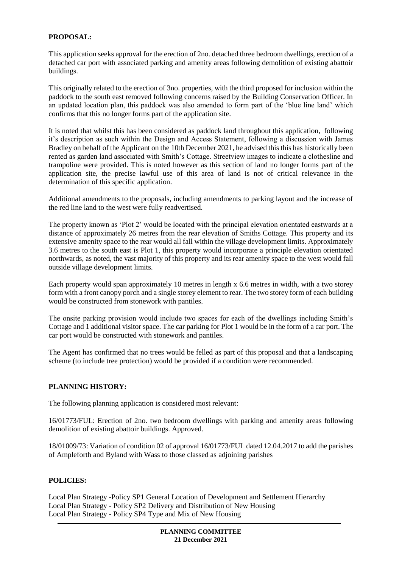## **PROPOSAL:**

This application seeks approval for the erection of 2no. detached three bedroom dwellings, erection of a detached car port with associated parking and amenity areas following demolition of existing abattoir buildings.

This originally related to the erection of 3no. properties, with the third proposed for inclusion within the paddock to the south east removed following concerns raised by the Building Conservation Officer. In an updated location plan, this paddock was also amended to form part of the 'blue line land' which confirms that this no longer forms part of the application site.

It is noted that whilst this has been considered as paddock land throughout this application, following it's description as such within the Design and Access Statement, following a discussion with James Bradley on behalf of the Applicant on the 10th December 2021, he advised this this has historically been rented as garden land associated with Smith's Cottage. Streetview images to indicate a clothesline and trampoline were provided. This is noted however as this section of land no longer forms part of the application site, the precise lawful use of this area of land is not of critical relevance in the determination of this specific application.

Additional amendments to the proposals, including amendments to parking layout and the increase of the red line land to the west were fully readvertised.

The property known as 'Plot 2' would be located with the principal elevation orientated eastwards at a distance of approximately 26 metres from the rear elevation of Smiths Cottage. This property and its extensive amenity space to the rear would all fall within the village development limits. Approximately 3.6 metres to the south east is Plot 1, this property would incorporate a principle elevation orientated northwards, as noted, the vast majority of this property and its rear amenity space to the west would fall outside village development limits.

Each property would span approximately 10 metres in length x 6.6 metres in width, with a two storey form with a front canopy porch and a single storey element to rear. The two storey form of each building would be constructed from stonework with pantiles.

The onsite parking provision would include two spaces for each of the dwellings including Smith's Cottage and 1 additional visitor space. The car parking for Plot 1 would be in the form of a car port. The car port would be constructed with stonework and pantiles.

The Agent has confirmed that no trees would be felled as part of this proposal and that a landscaping scheme (to include tree protection) would be provided if a condition were recommended.

## **PLANNING HISTORY:**

The following planning application is considered most relevant:

16/01773/FUL: Erection of 2no. two bedroom dwellings with parking and amenity areas following demolition of existing abattoir buildings. Approved.

18/01009/73: Variation of condition 02 of approval 16/01773/FUL dated 12.04.2017 to add the parishes of Ampleforth and Byland with Wass to those classed as adjoining parishes

#### **POLICIES:**

Local Plan Strategy -Policy SP1 General Location of Development and Settlement Hierarchy Local Plan Strategy - Policy SP2 Delivery and Distribution of New Housing Local Plan Strategy - Policy SP4 Type and Mix of New Housing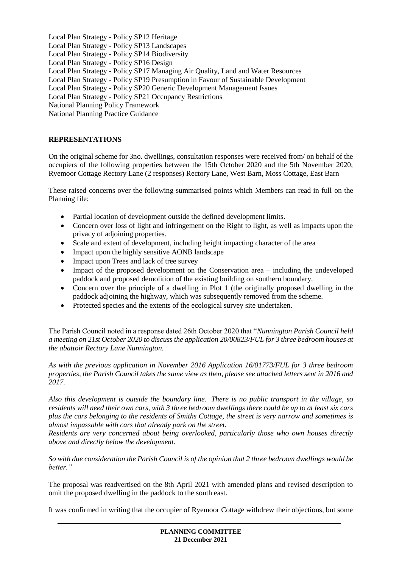Local Plan Strategy - Policy SP12 Heritage Local Plan Strategy - Policy SP13 Landscapes Local Plan Strategy - Policy SP14 Biodiversity Local Plan Strategy - Policy SP16 Design Local Plan Strategy - Policy SP17 Managing Air Quality, Land and Water Resources Local Plan Strategy - Policy SP19 Presumption in Favour of Sustainable Development Local Plan Strategy - Policy SP20 Generic Development Management Issues Local Plan Strategy - Policy SP21 Occupancy Restrictions National Planning Policy Framework National Planning Practice Guidance

# **REPRESENTATIONS**

On the original scheme for 3no. dwellings, consultation responses were received from/ on behalf of the occupiers of the following properties between the 15th October 2020 and the 5th November 2020; Ryemoor Cottage Rectory Lane (2 responses) Rectory Lane, West Barn, Moss Cottage, East Barn

These raised concerns over the following summarised points which Members can read in full on the Planning file:

- Partial location of development outside the defined development limits.
- Concern over loss of light and infringement on the Right to light, as well as impacts upon the privacy of adjoining properties.
- Scale and extent of development, including height impacting character of the area
- Impact upon the highly sensitive AONB landscape
- Impact upon Trees and lack of tree survey
- Impact of the proposed development on the Conservation area including the undeveloped paddock and proposed demolition of the existing building on southern boundary.
- Concern over the principle of a dwelling in Plot 1 (the originally proposed dwelling in the paddock adjoining the highway, which was subsequently removed from the scheme.
- Protected species and the extents of the ecological survey site undertaken.

The Parish Council noted in a response dated 26th October 2020 that "*Nunnington Parish Council held a meeting on 21st October 2020 to discuss the application 20/00823/FUL for 3 three bedroom houses at the abattoir Rectory Lane Nunnington.*

*As with the previous application in November 2016 Application 16/01773/FUL for 3 three bedroom properties, the Parish Council takes the same view as then, please see attached letters sent in 2016 and 2017.*

*Also this development is outside the boundary line. There is no public transport in the village, so residents will need their own cars, with 3 three bedroom dwellings there could be up to at least six cars plus the cars belonging to the residents of Smiths Cottage, the street is very narrow and sometimes is almost impassable with cars that already park on the street.*

*Residents are very concerned about being overlooked, particularly those who own houses directly above and directly below the development.*

*So with due consideration the Parish Council is of the opinion that 2 three bedroom dwellings would be better."*

The proposal was readvertised on the 8th April 2021 with amended plans and revised description to omit the proposed dwelling in the paddock to the south east.

It was confirmed in writing that the occupier of Ryemoor Cottage withdrew their objections, but some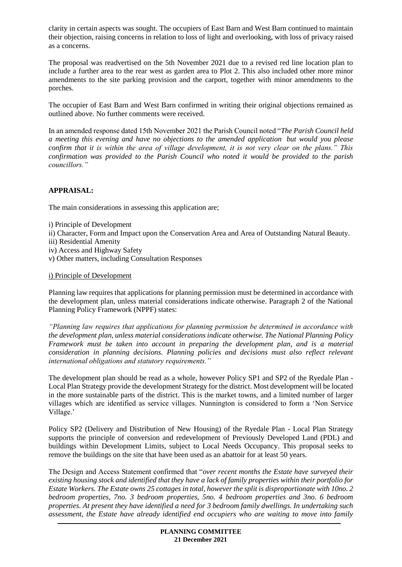clarity in certain aspects was sought. The occupiers of East Barn and West Barn continued to maintain their objection, raising concerns in relation to loss of light and overlooking, with loss of privacy raised as a concerns.

The proposal was readvertised on the 5th November 2021 due to a revised red line location plan to include a further area to the rear west as garden area to Plot 2. This also included other more minor amendments to the site parking provision and the carport, together with minor amendments to the porches.

The occupier of East Barn and West Barn confirmed in writing their original objections remained as outlined above. No further comments were received.

In an amended response dated 15th November 2021 the Parish Council noted "*The Parish Council held a meeting this evening and have no objections to the amended application but would you please confirm that it is within the area of village development, it is not very clear on the plans." This confirmation was provided to the Parish Council who noted it would be provided to the parish councillors."* 

# **APPRAISAL:**

The main considerations in assessing this application are;

- i) Principle of Development
- ii) Character, Form and Impact upon the Conservation Area and Area of Outstanding Natural Beauty.
- iii) Residential Amenity
- iv) Access and Highway Safety
- v) Other matters, including Consultation Responses

### i) Principle of Development

Planning law requires that applications for planning permission must be determined in accordance with the development plan, unless material considerations indicate otherwise. Paragraph 2 of the National Planning Policy Framework (NPPF) states:

*"Planning law requires that applications for planning permission be determined in accordance with the development plan, unless material considerations indicate otherwise. The National Planning Policy Framework must be taken into account in preparing the development plan, and is a material consideration in planning decisions. Planning policies and decisions must also reflect relevant international obligations and statutory requirements."*

The development plan should be read as a whole, however Policy SP1 and SP2 of the Ryedale Plan - Local Plan Strategy provide the development Strategy for the district. Most development will be located in the more sustainable parts of the district. This is the market towns, and a limited number of larger villages which are identified as service villages. Nunnington is considered to form a 'Non Service Village.'

Policy SP2 (Delivery and Distribution of New Housing) of the Ryedale Plan - Local Plan Strategy supports the principle of conversion and redevelopment of Previously Developed Land (PDL) and buildings within Development Limits, subject to Local Needs Occupancy. This proposal seeks to remove the buildings on the site that have been used as an abattoir for at least 50 years.

The Design and Access Statement confirmed that "*over recent months the Estate have surveyed their existing housing stock and identified that they have a lack of family properties within their portfolio for Estate Workers. The Estate owns 25 cottages in total, however the split is disproportionate with 10no. 2 bedroom properties, 7no. 3 bedroom properties, 5no. 4 bedroom properties and 3no. 6 bedroom properties. At present they have identified a need for 3 bedroom family dwellings. In undertaking such assessment, the Estate have already identified end occupiers who are waiting to move into family*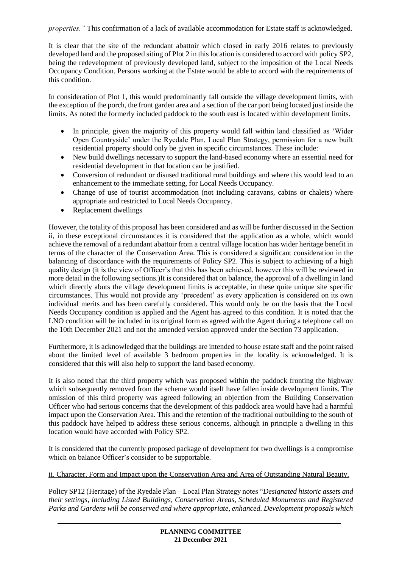*properties."* This confirmation of a lack of available accommodation for Estate staff is acknowledged.

It is clear that the site of the redundant abattoir which closed in early 2016 relates to previously developed land and the proposed siting of Plot 2 in this location is considered to accord with policy SP2, being the redevelopment of previously developed land, subject to the imposition of the Local Needs Occupancy Condition. Persons working at the Estate would be able to accord with the requirements of this condition.

In consideration of Plot 1, this would predominantly fall outside the village development limits, with the exception of the porch, the front garden area and a section of the car port being located just inside the limits. As noted the formerly included paddock to the south east is located within development limits.

- In principle, given the majority of this property would fall within land classified as 'Wider Open Countryside' under the Ryedale Plan, Local Plan Strategy, permission for a new built residential property should only be given in specific circumstances. These include:
- New build dwellings necessary to support the land-based economy where an essential need for residential development in that location can be justified.
- Conversion of redundant or disused traditional rural buildings and where this would lead to an enhancement to the immediate setting, for Local Needs Occupancy.
- Change of use of tourist accommodation (not including caravans, cabins or chalets) where appropriate and restricted to Local Needs Occupancy.
- Replacement dwellings

However, the totality of this proposal has been considered and as will be further discussed in the Section ii, in these exceptional circumstances it is considered that the application as a whole, which would achieve the removal of a redundant abattoir from a central village location has wider heritage benefit in terms of the character of the Conservation Area. This is considered a significant consideration in the balancing of discordance with the requirements of Policy SP2. This is subject to achieving of a high quality design (it is the view of Officer's that this has been achieved, however this will be reviewed in more detail in the following sections.)It is considered that on balance, the approval of a dwelling in land which directly abuts the village development limits is acceptable, in these quite unique site specific circumstances. This would not provide any 'precedent' as every application is considered on its own individual merits and has been carefully considered. This would only be on the basis that the Local Needs Occupancy condition is applied and the Agent has agreed to this condition. It is noted that the LNO condition will be included in its original form as agreed with the Agent during a telephone call on the 10th December 2021 and not the amended version approved under the Section 73 application.

Furthermore, it is acknowledged that the buildings are intended to house estate staff and the point raised about the limited level of available 3 bedroom properties in the locality is acknowledged. It is considered that this will also help to support the land based economy.

It is also noted that the third property which was proposed within the paddock fronting the highway which subsequently removed from the scheme would itself have fallen inside development limits. The omission of this third property was agreed following an objection from the Building Conservation Officer who had serious concerns that the development of this paddock area would have had a harmful impact upon the Conservation Area. This and the retention of the traditional outbuilding to the south of this paddock have helped to address these serious concerns, although in principle a dwelling in this location would have accorded with Policy SP2.

It is considered that the currently proposed package of development for two dwellings is a compromise which on balance Officer's consider to be supportable.

ii. Character, Form and Impact upon the Conservation Area and Area of Outstanding Natural Beauty.

Policy SP12 (Heritage) of the Ryedale Plan – Local Plan Strategy notes "*Designated historic assets and their settings, including Listed Buildings, Conservation Areas, Scheduled Monuments and Registered Parks and Gardens will be conserved and where appropriate, enhanced. Development proposals which*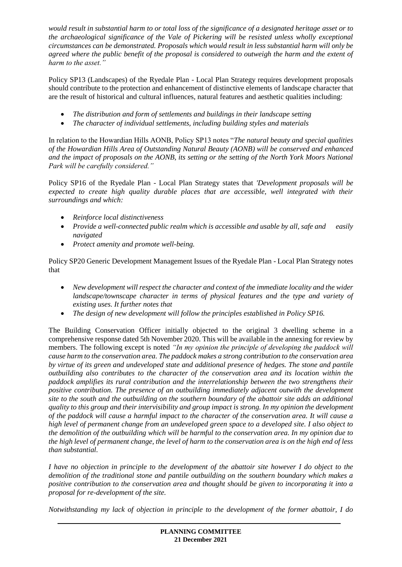*would result in substantial harm to or total loss of the significance of a designated heritage asset or to the archaeological significance of the Vale of Pickering will be resisted unless wholly exceptional circumstances can be demonstrated. Proposals which would result in less substantial harm will only be agreed where the public benefit of the proposal is considered to outweigh the harm and the extent of harm to the asset."*

Policy SP13 (Landscapes) of the Ryedale Plan - Local Plan Strategy requires development proposals should contribute to the protection and enhancement of distinctive elements of landscape character that are the result of historical and cultural influences, natural features and aesthetic qualities including:

- *The distribution and form of settlements and buildings in their landscape setting*
- *The character of individual settlements, including building styles and materials*

In relation to the Howardian Hills AONB, Policy SP13 notes "*The natural beauty and special qualities of the Howardian Hills Area of Outstanding Natural Beauty (AONB) will be conserved and enhanced and the impact of proposals on the AONB, its setting or the setting of the North York Moors National Park will be carefully considered."*

Policy SP16 of the Ryedale Plan - Local Plan Strategy states that *'Development proposals will be expected to create high quality durable places that are accessible, well integrated with their surroundings and which:*

- *Reinforce local distinctiveness*
- *Provide a well-connected public realm which is accessible and usable by all, safe and easily navigated*
- *Protect amenity and promote well-being.*

Policy SP20 Generic Development Management Issues of the Ryedale Plan - Local Plan Strategy notes that

- *New development will respect the character and context of the immediate locality and the wider landscape/townscape character in terms of physical features and the type and variety of existing uses. It further notes that*
- *The design of new development will follow the principles established in Policy SP16.*

The Building Conservation Officer initially objected to the original 3 dwelling scheme in a comprehensive response dated 5th November 2020. This will be available in the annexing for review by members. The following except is noted *"In my opinion the principle of developing the paddock will cause harm to the conservation area. The paddock makes a strong contribution to the conservation area by virtue of its green and undeveloped state and additional presence of hedges. The stone and pantile outbuilding also contributes to the character of the conservation area and its location within the paddock amplifies its rural contribution and the interrelationship between the two strengthens their positive contribution. The presence of an outbuilding immediately adjacent outwith the development site to the south and the outbuilding on the southern boundary of the abattoir site adds an additional quality to this group and their intervisibility and group impact is strong. In my opinion the development of the paddock will cause a harmful impact to the character of the conservation area. It will cause a high level of permanent change from an undeveloped green space to a developed site. I also object to the demolition of the outbuilding which will be harmful to the conservation area. In my opinion due to the high level of permanent change, the level of harm to the conservation area is on the high end of less than substantial.* 

*I have no objection in principle to the development of the abattoir site however I do object to the demolition of the traditional stone and pantile outbuilding on the southern boundary which makes a positive contribution to the conservation area and thought should be given to incorporating it into a proposal for re-development of the site.* 

*Notwithstanding my lack of objection in principle to the development of the former abattoir, I do*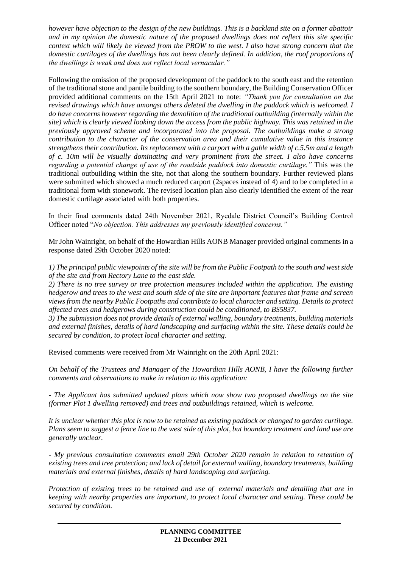*however have objection to the design of the new buildings. This is a backland site on a former abattoir and in my opinion the domestic nature of the proposed dwellings does not reflect this site specific context which will likely be viewed from the PROW to the west. I also have strong concern that the domestic curtilages of the dwellings has not been clearly defined. In addition, the roof proportions of the dwellings is weak and does not reflect local vernacular."*

Following the omission of the proposed development of the paddock to the south east and the retention of the traditional stone and pantile building to the southern boundary, the Building Conservation Officer provided additional comments on the 15th April 2021 to note: *"Thank you for consultation on the revised drawings which have amongst others deleted the dwelling in the paddock which is welcomed. I do have concerns however regarding the demolition of the traditional outbuilding (internally within the site) which is clearly viewed looking down the access from the public highway. This was retained in the previously approved scheme and incorporated into the proposal. The outbuildings make a strong contribution to the character of the conservation area and their cumulative value in this instance strengthens their contribution. Its replacement with a carport with a gable width of c.5.5m and a length of c. 10m will be visually dominating and very prominent from the street. I also have concerns regarding a potential change of use of the roadside paddock into domestic curtilage."* This was the traditional outbuilding within the site, not that along the southern boundary. Further reviewed plans were submitted which showed a much reduced carport (2spaces instead of 4) and to be completed in a traditional form with stonework. The revised location plan also clearly identified the extent of the rear domestic curtilage associated with both properties.

In their final comments dated 24th November 2021, Ryedale District Council's Building Control Officer noted "*No objection. This addresses my previously identified concerns."*

Mr John Wainright, on behalf of the Howardian Hills AONB Manager provided original comments in a response dated 29th October 2020 noted:

*1) The principal public viewpoints of the site will be from the Public Footpath to the south and west side of the site and from Rectory Lane to the east side.*

*2) There is no tree survey or tree protection measures included within the application. The existing hedgerow and trees to the west and south side of the site are important features that frame and screen views from the nearby Public Footpaths and contribute to local character and setting. Details to protect affected trees and hedgerows during construction could be conditioned, to BS5837.*

*3) The submission does not provide details of external walling, boundary treatments, building materials and external finishes, details of hard landscaping and surfacing within the site. These details could be secured by condition, to protect local character and setting.*

Revised comments were received from Mr Wainright on the 20th April 2021:

*On behalf of the Trustees and Manager of the Howardian Hills AONB, I have the following further comments and observations to make in relation to this application:*

*- The Applicant has submitted updated plans which now show two proposed dwellings on the site (former Plot 1 dwelling removed) and trees and outbuildings retained, which is welcome.* 

*It is unclear whether this plot is now to be retained as existing paddock or changed to garden curtilage. Plans seem to suggest a fence line to the west side of this plot, but boundary treatment and land use are generally unclear.*

*- My previous consultation comments email 29th October 2020 remain in relation to retention of existing trees and tree protection; and lack of detail for external walling, boundary treatments, building materials and external finishes, details of hard landscaping and surfacing.* 

*Protection of existing trees to be retained and use of external materials and detailing that are in keeping with nearby properties are important, to protect local character and setting. These could be secured by condition.*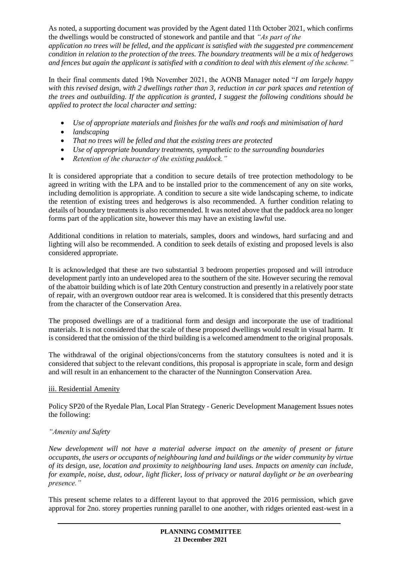As noted, a supporting document was provided by the Agent dated 11th October 2021, which confirms the dwellings would be constructed of stonework and pantile and that *"As part of the application no trees will be felled, and the applicant is satisfied with the suggested pre commencement condition in relation to the protection of the trees. The boundary treatments will be a mix of hedgerows and fences but again the applicant is satisfied with a condition to deal with this element of the scheme."*

In their final comments dated 19th November 2021, the AONB Manager noted "*I am largely happy with this revised design, with 2 dwellings rather than 3, reduction in car park spaces and retention of the trees and outbuilding. If the application is granted, I suggest the following conditions should be applied to protect the local character and setting:*

- *Use of appropriate materials and finishes for the walls and roofs and minimisation of hard*
- *landscaping*
- *That no trees will be felled and that the existing trees are protected*
- *Use of appropriate boundary treatments, sympathetic to the surrounding boundaries*
- *Retention of the character of the existing paddock."*

It is considered appropriate that a condition to secure details of tree protection methodology to be agreed in writing with the LPA and to be installed prior to the commencement of any on site works, including demolition is appropriate. A condition to secure a site wide landscaping scheme, to indicate the retention of existing trees and hedgerows is also recommended. A further condition relating to details of boundary treatments is also recommended. It was noted above that the paddock area no longer forms part of the application site, however this may have an existing lawful use.

Additional conditions in relation to materials, samples, doors and windows, hard surfacing and and lighting will also be recommended. A condition to seek details of existing and proposed levels is also considered appropriate.

It is acknowledged that these are two substantial 3 bedroom properties proposed and will introduce development partly into an undeveloped area to the southern of the site. However securing the removal of the abattoir building which is of late 20th Century construction and presently in a relatively poor state of repair, with an overgrown outdoor rear area is welcomed. It is considered that this presently detracts from the character of the Conservation Area.

The proposed dwellings are of a traditional form and design and incorporate the use of traditional materials. It is not considered that the scale of these proposed dwellings would result in visual harm. It is considered that the omission of the third building is a welcomed amendment to the original proposals.

The withdrawal of the original objections/concerns from the statutory consultees is noted and it is considered that subject to the relevant conditions, this proposal is appropriate in scale, form and design and will result in an enhancement to the character of the Nunnington Conservation Area.

## iii. Residential Amenity

Policy SP20 of the Ryedale Plan, Local Plan Strategy - Generic Development Management Issues notes the following:

## *"Amenity and Safety*

*New development will not have a material adverse impact on the amenity of present or future occupants, the users or occupants of neighbouring land and buildings or the wider community by virtue of its design, use, location and proximity to neighbouring land uses. Impacts on amenity can include, for example, noise, dust, odour, light flicker, loss of privacy or natural daylight or be an overbearing presence."*

This present scheme relates to a different layout to that approved the 2016 permission, which gave approval for 2no. storey properties running parallel to one another, with ridges oriented east-west in a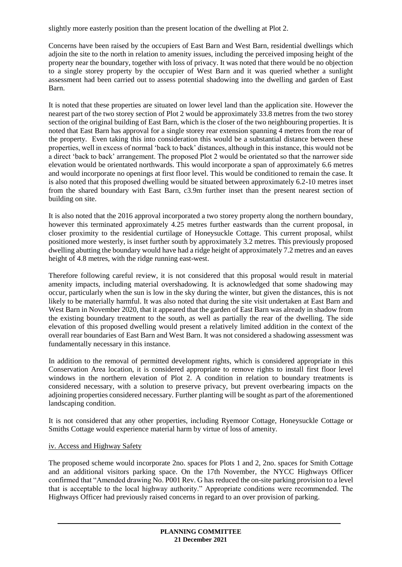slightly more easterly position than the present location of the dwelling at Plot 2.

Concerns have been raised by the occupiers of East Barn and West Barn, residential dwellings which adjoin the site to the north in relation to amenity issues, including the perceived imposing height of the property near the boundary, together with loss of privacy. It was noted that there would be no objection to a single storey property by the occupier of West Barn and it was queried whether a sunlight assessment had been carried out to assess potential shadowing into the dwelling and garden of East Barn.

It is noted that these properties are situated on lower level land than the application site. However the nearest part of the two storey section of Plot 2 would be approximately 33.8 metres from the two storey section of the original building of East Barn, which is the closer of the two neighbouring properties. It is noted that East Barn has approval for a single storey rear extension spanning 4 metres from the rear of the property. Even taking this into consideration this would be a substantial distance between these properties, well in excess of normal 'back to back' distances, although in this instance, this would not be a direct 'back to back' arrangement. The proposed Plot 2 would be orientated so that the narrower side elevation would be orientated northwards. This would incorporate a span of approximately 6.6 metres and would incorporate no openings at first floor level. This would be conditioned to remain the case. It is also noted that this proposed dwelling would be situated between approximately 6.2-10 metres inset from the shared boundary with East Barn, c3.9m further inset than the present nearest section of building on site.

It is also noted that the 2016 approval incorporated a two storey property along the northern boundary, however this terminated approximately 4.25 metres further eastwards than the current proposal, in closer proximity to the residential curtilage of Honeysuckle Cottage. This current proposal, whilst positioned more westerly, is inset further south by approximately 3.2 metres. This previously proposed dwelling abutting the boundary would have had a ridge height of approximately 7.2 metres and an eaves height of 4.8 metres, with the ridge running east-west.

Therefore following careful review, it is not considered that this proposal would result in material amenity impacts, including material overshadowing. It is acknowledged that some shadowing may occur, particularly when the sun is low in the sky during the winter, but given the distances, this is not likely to be materially harmful. It was also noted that during the site visit undertaken at East Barn and West Barn in November 2020, that it appeared that the garden of East Barn was already in shadow from the existing boundary treatment to the south, as well as partially the rear of the dwelling. The side elevation of this proposed dwelling would present a relatively limited addition in the context of the overall rear boundaries of East Barn and West Barn. It was not considered a shadowing assessment was fundamentally necessary in this instance.

In addition to the removal of permitted development rights, which is considered appropriate in this Conservation Area location, it is considered appropriate to remove rights to install first floor level windows in the northern elevation of Plot 2. A condition in relation to boundary treatments is considered necessary, with a solution to preserve privacy, but prevent overbearing impacts on the adjoining properties considered necessary. Further planting will be sought as part of the aforementioned landscaping condition.

It is not considered that any other properties, including Ryemoor Cottage, Honeysuckle Cottage or Smiths Cottage would experience material harm by virtue of loss of amenity.

## iv. Access and Highway Safety

The proposed scheme would incorporate 2no. spaces for Plots 1 and 2, 2no. spaces for Smith Cottage and an additional visitors parking space. On the 17th November, the NYCC Highways Officer confirmed that "Amended drawing No. P001 Rev. G has reduced the on-site parking provision to a level that is acceptable to the local highway authority." Appropriate conditions were recommended. The Highways Officer had previously raised concerns in regard to an over provision of parking.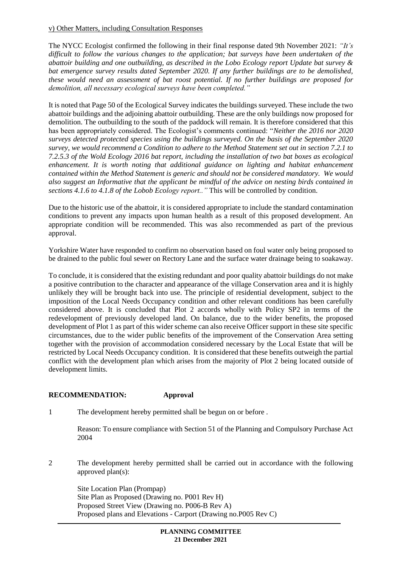#### v) Other Matters, including Consultation Responses

The NYCC Ecologist confirmed the following in their final response dated 9th November 2021: *"It's difficult to follow the various changes to the application; bat surveys have been undertaken of the abattoir building and one outbuilding, as described in the Lobo Ecology report Update bat survey & bat emergence survey results dated September 2020. If any further buildings are to be demolished, these would need an assessment of bat roost potential. If no further buildings are proposed for demolition, all necessary ecological surveys have been completed."* 

It is noted that Page 50 of the Ecological Survey indicates the buildings surveyed. These include the two abattoir buildings and the adjoining abattoir outbuilding. These are the only buildings now proposed for demolition. The outbuilding to the south of the paddock will remain. It is therefore considered that this has been appropriately considered. The Ecologist's comments continued: "*Neither the 2016 nor 2020 surveys detected protected species using the buildings surveyed. On the basis of the September 2020 survey, we would recommend a Condition to adhere to the Method Statement set out in section 7.2.1 to 7.2.5.3 of the Wold Ecology 2016 bat report, including the installation of two bat boxes as ecological enhancement. It is worth noting that additional guidance on lighting and habitat enhancement contained within the Method Statement is generic and should not be considered mandatory. We would also suggest an Informative that the applicant be mindful of the advice on nesting birds contained in sections 4.1.6 to 4.1.8 of the Lobob Ecology report.."* This will be controlled by condition.

Due to the historic use of the abattoir, it is considered appropriate to include the standard contamination conditions to prevent any impacts upon human health as a result of this proposed development. An appropriate condition will be recommended. This was also recommended as part of the previous approval.

Yorkshire Water have responded to confirm no observation based on foul water only being proposed to be drained to the public foul sewer on Rectory Lane and the surface water drainage being to soakaway.

To conclude, it is considered that the existing redundant and poor quality abattoir buildings do not make a positive contribution to the character and appearance of the village Conservation area and it is highly unlikely they will be brought back into use. The principle of residential development, subject to the imposition of the Local Needs Occupancy condition and other relevant conditions has been carefully considered above. It is concluded that Plot 2 accords wholly with Policy SP2 in terms of the redevelopment of previously developed land. On balance, due to the wider benefits, the proposed development of Plot 1 as part of this wider scheme can also receive Officer support in these site specific circumstances, due to the wider public benefits of the improvement of the Conservation Area setting together with the provision of accommodation considered necessary by the Local Estate that will be restricted by Local Needs Occupancy condition. It is considered that these benefits outweigh the partial conflict with the development plan which arises from the majority of Plot 2 being located outside of development limits.

## **RECOMMENDATION: Approval**

1 The development hereby permitted shall be begun on or before .

Reason: To ensure compliance with Section 51 of the Planning and Compulsory Purchase Act 2004

2 The development hereby permitted shall be carried out in accordance with the following approved plan(s):

Site Location Plan (Prompap) Site Plan as Proposed (Drawing no. P001 Rev H) Proposed Street View (Drawing no. P006-B Rev A) Proposed plans and Elevations - Carport (Drawing no.P005 Rev C)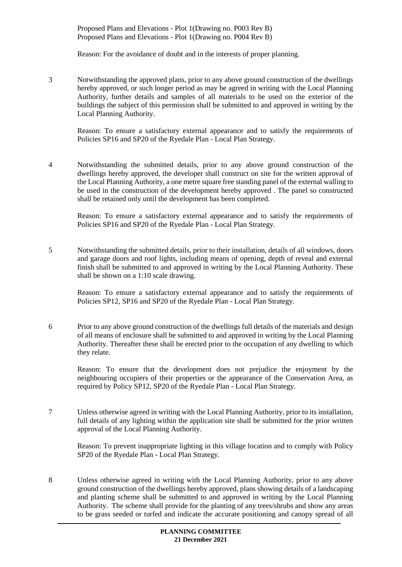Proposed Plans and Elevations - Plot 1(Drawing no. P003 Rev B) Proposed Plans and Elevations - Plot 1(Drawing no. P004 Rev B)

Reason: For the avoidance of doubt and in the interests of proper planning.

3 Notwithstanding the approved plans, prior to any above ground construction of the dwellings hereby approved, or such longer period as may be agreed in writing with the Local Planning Authority, further details and samples of all materials to be used on the exterior of the buildings the subject of this permission shall be submitted to and approved in writing by the Local Planning Authority.

Reason: To ensure a satisfactory external appearance and to satisfy the requirements of Policies SP16 and SP20 of the Ryedale Plan - Local Plan Strategy.

4 Notwithstanding the submitted details, prior to any above ground construction of the dwellings hereby approved, the developer shall construct on site for the written approval of the Local Planning Authority, a one metre square free standing panel of the external walling to be used in the construction of the development hereby approved . The panel so constructed shall be retained only until the development has been completed.

Reason: To ensure a satisfactory external appearance and to satisfy the requirements of Policies SP16 and SP20 of the Ryedale Plan - Local Plan Strategy.

5 Notwithstanding the submitted details, prior to their installation, details of all windows, doors and garage doors and roof lights, including means of opening, depth of reveal and external finish shall be submitted to and approved in writing by the Local Planning Authority. These shall be shown on a 1:10 scale drawing.

Reason: To ensure a satisfactory external appearance and to satisfy the requirements of Policies SP12, SP16 and SP20 of the Ryedale Plan - Local Plan Strategy.

6 Prior to any above ground construction of the dwellings full details of the materials and design of all means of enclosure shall be submitted to and approved in writing by the Local Planning Authority. Thereafter these shall be erected prior to the occupation of any dwelling to which they relate.

Reason: To ensure that the development does not prejudice the enjoyment by the neighbouring occupiers of their properties or the appearance of the Conservation Area, as required by Policy SP12, SP20 of the Ryedale Plan - Local Plan Strategy.

7 Unless otherwise agreed in writing with the Local Planning Authority, prior to its installation, full details of any lighting within the application site shall be submitted for the prior written approval of the Local Planning Authority.

Reason: To prevent inappropriate lighting in this village location and to comply with Policy SP20 of the Ryedale Plan - Local Plan Strategy.

8 Unless otherwise agreed in writing with the Local Planning Authority, prior to any above ground construction of the dwellings hereby approved, plans showing details of a landscaping and planting scheme shall be submitted to and approved in writing by the Local Planning Authority. The scheme shall provide for the planting of any trees/shrubs and show any areas to be grass seeded or turfed and indicate the accurate positioning and canopy spread of all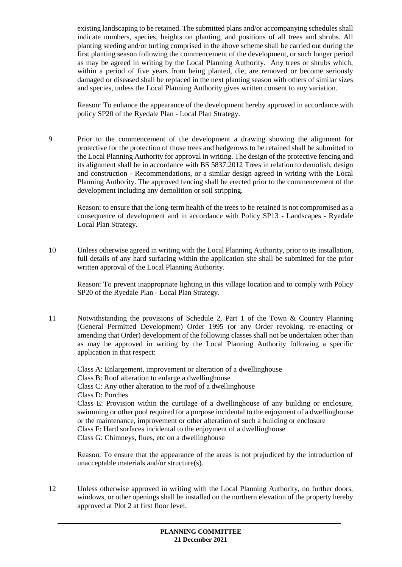existing landscaping to be retained. The submitted plans and/or accompanying schedules shall indicate numbers, species, heights on planting, and positions of all trees and shrubs. All planting seeding and/or turfing comprised in the above scheme shall be carried out during the first planting season following the commencement of the development, or such longer period as may be agreed in writing by the Local Planning Authority. Any trees or shrubs which, within a period of five years from being planted, die, are removed or become seriously damaged or diseased shall be replaced in the next planting season with others of similar sizes and species, unless the Local Planning Authority gives written consent to any variation.

Reason: To enhance the appearance of the development hereby approved in accordance with policy SP20 of the Ryedale Plan - Local Plan Strategy.

9 Prior to the commencement of the development a drawing showing the alignment for protective for the protection of those trees and hedgerows to be retained shall be submitted to the Local Planning Authority for approval in writing. The design of the protective fencing and its alignment shall be in accordance with BS 5837:2012 Trees in relation to demolish, design and construction - Recommendations, or a similar design agreed in writing with the Local Planning Authority. The approved fencing shall be erected prior to the commencement of the development including any demolition or soil stripping.

Reason: to ensure that the long-term health of the trees to be retained is not compromised as a consequence of development and in accordance with Policy SP13 - Landscapes - Ryedale Local Plan Strategy.

10 Unless otherwise agreed in writing with the Local Planning Authority, prior to its installation, full details of any hard surfacing within the application site shall be submitted for the prior written approval of the Local Planning Authority.

Reason: To prevent inappropriate lighting in this village location and to comply with Policy SP20 of the Ryedale Plan - Local Plan Strategy.

11 Notwithstanding the provisions of Schedule 2, Part 1 of the Town & Country Planning (General Permitted Development) Order 1995 (or any Order revoking, re-enacting or amending that Order) development of the following classes shall not be undertaken other than as may be approved in writing by the Local Planning Authority following a specific application in that respect:

Class A: Enlargement, improvement or alteration of a dwellinghouse Class B: Roof alteration to enlarge a dwellinghouse Class C: Any other alteration to the roof of a dwellinghouse Class D: Porches Class E: Provision within the curtilage of a dwellinghouse of any building or enclosure, swimming or other pool required for a purpose incidental to the enjoyment of a dwellinghouse or the maintenance, improvement or other alteration of such a building or enclosure Class F: Hard surfaces incidental to the enjoyment of a dwellinghouse Class G: Chimneys, flues, etc on a dwellinghouse

Reason: To ensure that the appearance of the areas is not prejudiced by the introduction of unacceptable materials and/or structure(s).

12 Unless otherwise approved in writing with the Local Planning Authority, no further doors, windows, or other openings shall be installed on the northern elevation of the property hereby approved at Plot 2 at first floor level.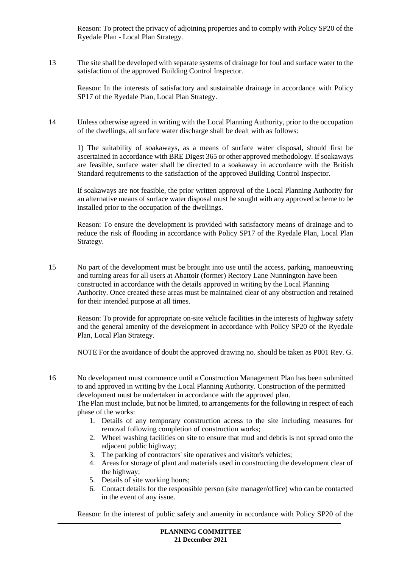Reason: To protect the privacy of adjoining properties and to comply with Policy SP20 of the Ryedale Plan - Local Plan Strategy.

13 The site shall be developed with separate systems of drainage for foul and surface water to the satisfaction of the approved Building Control Inspector.

Reason: In the interests of satisfactory and sustainable drainage in accordance with Policy SP17 of the Ryedale Plan, Local Plan Strategy.

14 Unless otherwise agreed in writing with the Local Planning Authority, prior to the occupation of the dwellings, all surface water discharge shall be dealt with as follows:

1) The suitability of soakaways, as a means of surface water disposal, should first be ascertained in accordance with BRE Digest 365 or other approved methodology. If soakaways are feasible, surface water shall be directed to a soakaway in accordance with the British Standard requirements to the satisfaction of the approved Building Control Inspector.

If soakaways are not feasible, the prior written approval of the Local Planning Authority for an alternative means of surface water disposal must be sought with any approved scheme to be installed prior to the occupation of the dwellings.

Reason: To ensure the development is provided with satisfactory means of drainage and to reduce the risk of flooding in accordance with Policy SP17 of the Ryedale Plan, Local Plan Strategy.

15 No part of the development must be brought into use until the access, parking, manoeuvring and turning areas for all users at Abattoir (former) Rectory Lane Nunnington have been constructed in accordance with the details approved in writing by the Local Planning Authority. Once created these areas must be maintained clear of any obstruction and retained for their intended purpose at all times.

Reason: To provide for appropriate on-site vehicle facilities in the interests of highway safety and the general amenity of the development in accordance with Policy SP20 of the Ryedale Plan, Local Plan Strategy.

NOTE For the avoidance of doubt the approved drawing no. should be taken as P001 Rev. G.

16 No development must commence until a Construction Management Plan has been submitted to and approved in writing by the Local Planning Authority. Construction of the permitted development must be undertaken in accordance with the approved plan.

The Plan must include, but not be limited, to arrangements for the following in respect of each phase of the works:

- 1. Details of any temporary construction access to the site including measures for removal following completion of construction works;
- 2. Wheel washing facilities on site to ensure that mud and debris is not spread onto the adjacent public highway;
- 3. The parking of contractors' site operatives and visitor's vehicles;
- 4. Areas for storage of plant and materials used in constructing the development clear of the highway;
- 5. Details of site working hours;
- 6. Contact details for the responsible person (site manager/office) who can be contacted in the event of any issue.

Reason: In the interest of public safety and amenity in accordance with Policy SP20 of the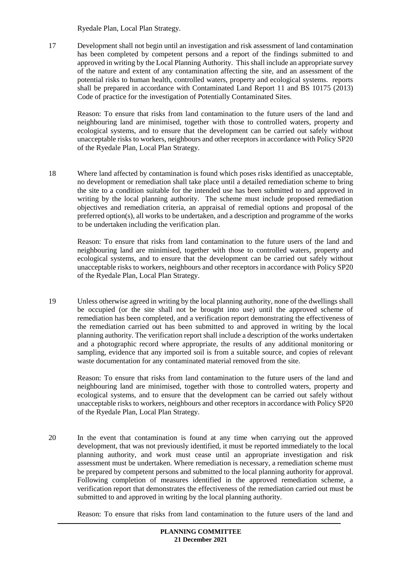Ryedale Plan, Local Plan Strategy.

17 Development shall not begin until an investigation and risk assessment of land contamination has been completed by competent persons and a report of the findings submitted to and approved in writing by the Local Planning Authority. This shall include an appropriate survey of the nature and extent of any contamination affecting the site, and an assessment of the potential risks to human health, controlled waters, property and ecological systems. reports shall be prepared in accordance with Contaminated Land Report 11 and BS 10175 (2013) Code of practice for the investigation of Potentially Contaminated Sites.

Reason: To ensure that risks from land contamination to the future users of the land and neighbouring land are minimised, together with those to controlled waters, property and ecological systems, and to ensure that the development can be carried out safely without unacceptable risks to workers, neighbours and other receptors in accordance with Policy SP20 of the Ryedale Plan, Local Plan Strategy.

18 Where land affected by contamination is found which poses risks identified as unacceptable, no development or remediation shall take place until a detailed remediation scheme to bring the site to a condition suitable for the intended use has been submitted to and approved in writing by the local planning authority. The scheme must include proposed remediation objectives and remediation criteria, an appraisal of remedial options and proposal of the preferred option(s), all works to be undertaken, and a description and programme of the works to be undertaken including the verification plan.

Reason: To ensure that risks from land contamination to the future users of the land and neighbouring land are minimised, together with those to controlled waters, property and ecological systems, and to ensure that the development can be carried out safely without unacceptable risks to workers, neighbours and other receptors in accordance with Policy SP20 of the Ryedale Plan, Local Plan Strategy.

19 Unless otherwise agreed in writing by the local planning authority, none of the dwellings shall be occupied (or the site shall not be brought into use) until the approved scheme of remediation has been completed, and a verification report demonstrating the effectiveness of the remediation carried out has been submitted to and approved in writing by the local planning authority. The verification report shall include a description of the works undertaken and a photographic record where appropriate, the results of any additional monitoring or sampling, evidence that any imported soil is from a suitable source, and copies of relevant waste documentation for any contaminated material removed from the site.

Reason: To ensure that risks from land contamination to the future users of the land and neighbouring land are minimised, together with those to controlled waters, property and ecological systems, and to ensure that the development can be carried out safely without unacceptable risks to workers, neighbours and other receptors in accordance with Policy SP20 of the Ryedale Plan, Local Plan Strategy.

20 In the event that contamination is found at any time when carrying out the approved development, that was not previously identified, it must be reported immediately to the local planning authority, and work must cease until an appropriate investigation and risk assessment must be undertaken. Where remediation is necessary, a remediation scheme must be prepared by competent persons and submitted to the local planning authority for approval. Following completion of measures identified in the approved remediation scheme, a verification report that demonstrates the effectiveness of the remediation carried out must be submitted to and approved in writing by the local planning authority.

Reason: To ensure that risks from land contamination to the future users of the land and